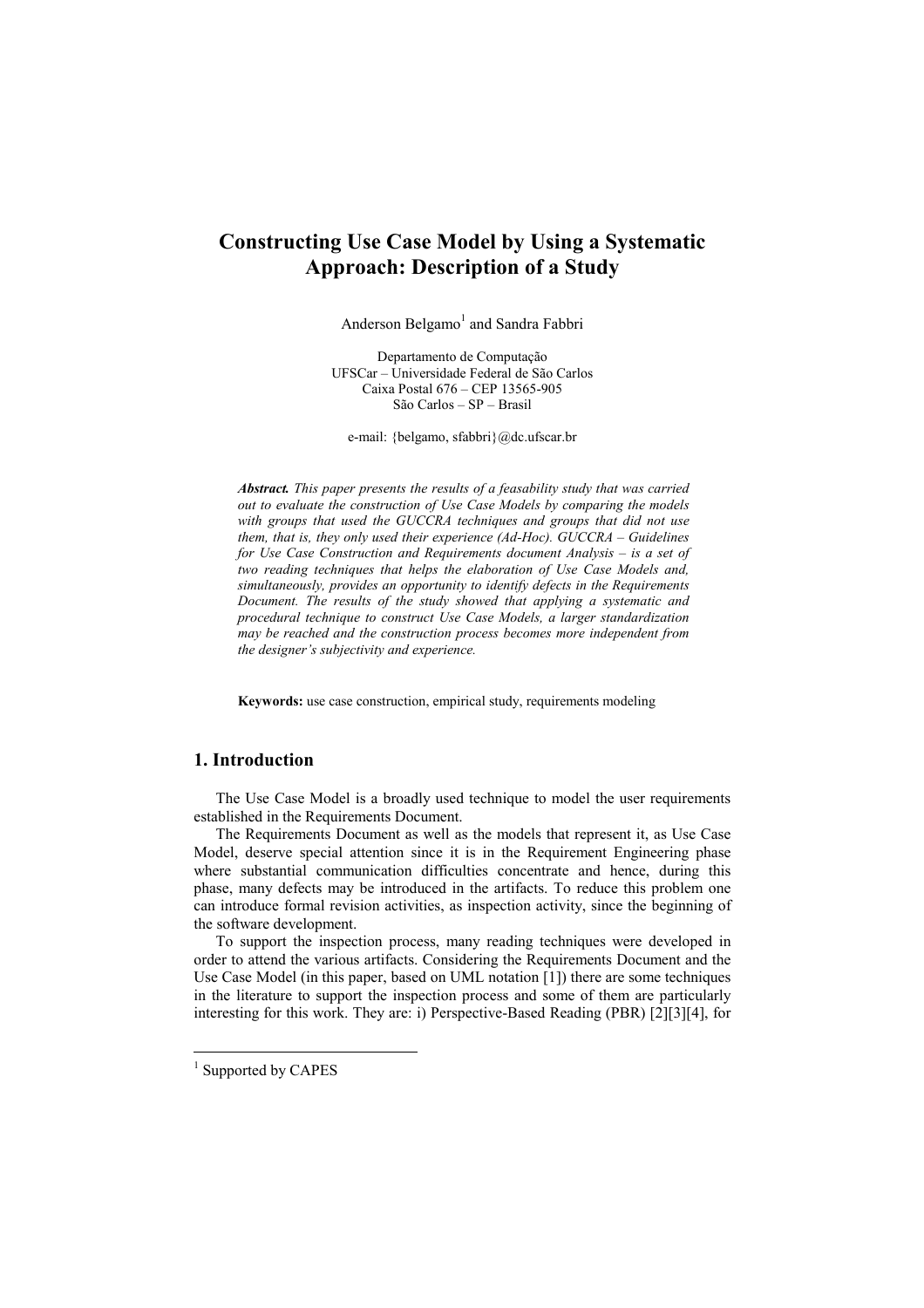# **Constructing Use Case Model by Using a Systematic Approach: Description of a Study**

Anderson Belgamo<sup>1</sup> and Sandra Fabbri

Departamento de Computação UFSCar – Universidade Federal de São Carlos Caixa Postal 676 – CEP 13565-905 São Carlos – SP – Brasil

e-mail: {belgamo, sfabbri}@dc.ufscar.br

*Abstract. This paper presents the results of a feasability study that was carried out to evaluate the construction of Use Case Models by comparing the models with groups that used the GUCCRA techniques and groups that did not use them, that is, they only used their experience (Ad-Hoc). GUCCRA – Guidelines for Use Case Construction and Requirements document Analysis – is a set of two reading techniques that helps the elaboration of Use Case Models and, simultaneously, provides an opportunity to identify defects in the Requirements Document. The results of the study showed that applying a systematic and procedural technique to construct Use Case Models, a larger standardization may be reached and the construction process becomes more independent from the designer's subjectivity and experience.* 

**Keywords:** use case construction, empirical study, requirements modeling

# **1. Introduction**

The Use Case Model is a broadly used technique to model the user requirements established in the Requirements Document.

The Requirements Document as well as the models that represent it, as Use Case Model, deserve special attention since it is in the Requirement Engineering phase where substantial communication difficulties concentrate and hence, during this phase, many defects may be introduced in the artifacts. To reduce this problem one can introduce formal revision activities, as inspection activity, since the beginning of the software development.

To support the inspection process, many reading techniques were developed in order to attend the various artifacts. Considering the Requirements Document and the Use Case Model (in this paper, based on UML notation [1]) there are some techniques in the literature to support the inspection process and some of them are particularly interesting for this work. They are: i) Perspective-Based Reading (PBR) [2][3][4], for

1

<sup>&</sup>lt;sup>1</sup> Supported by CAPES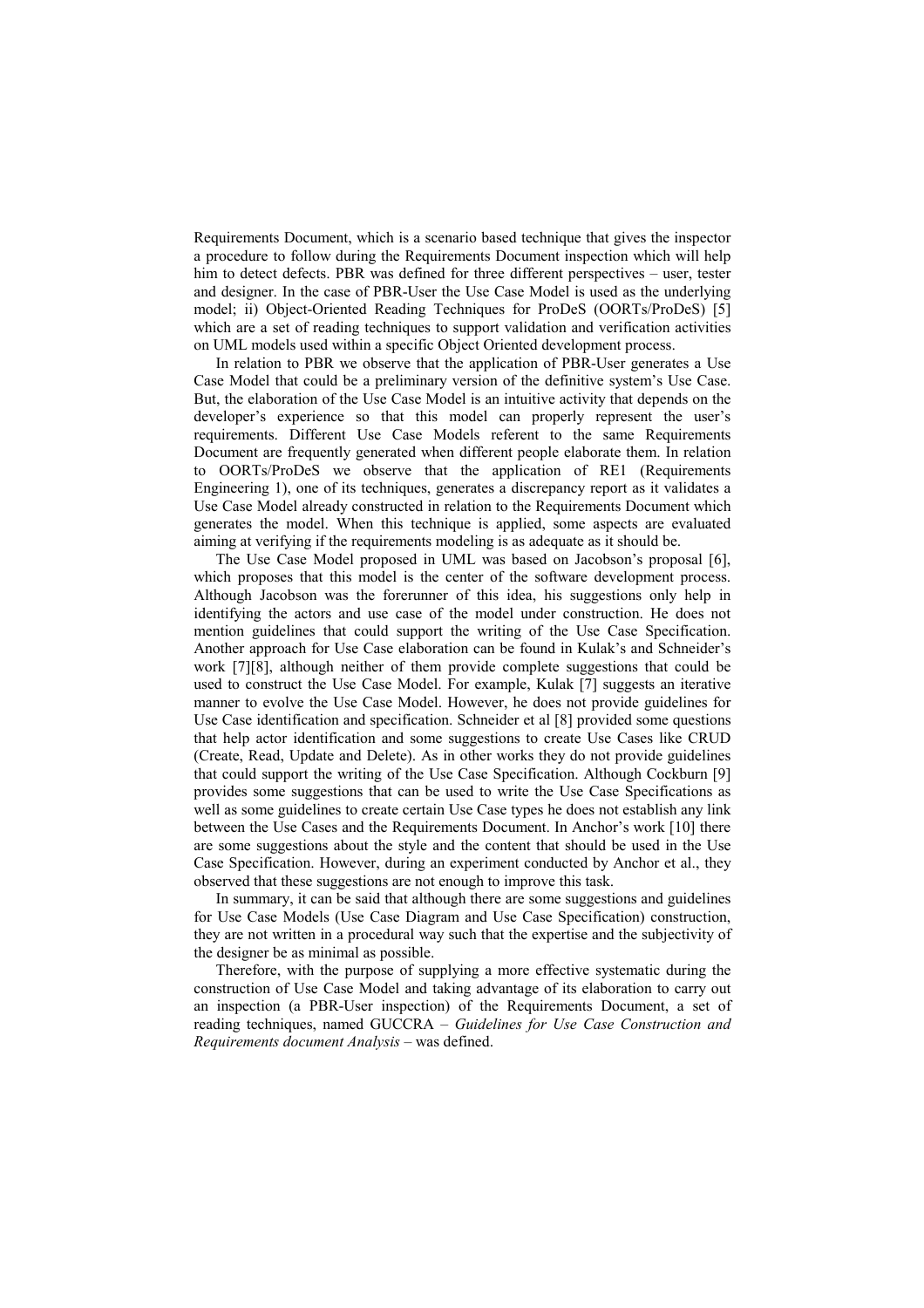Requirements Document, which is a scenario based technique that gives the inspector a procedure to follow during the Requirements Document inspection which will help him to detect defects. PBR was defined for three different perspectives – user, tester and designer. In the case of PBR-User the Use Case Model is used as the underlying model; ii) Object-Oriented Reading Techniques for ProDeS (OORTs/ProDeS) [5] which are a set of reading techniques to support validation and verification activities on UML models used within a specific Object Oriented development process.

In relation to PBR we observe that the application of PBR-User generates a Use Case Model that could be a preliminary version of the definitive system's Use Case. But, the elaboration of the Use Case Model is an intuitive activity that depends on the developer's experience so that this model can properly represent the user's requirements. Different Use Case Models referent to the same Requirements Document are frequently generated when different people elaborate them. In relation to OORTs/ProDeS we observe that the application of RE1 (Requirements Engineering 1), one of its techniques, generates a discrepancy report as it validates a Use Case Model already constructed in relation to the Requirements Document which generates the model. When this technique is applied, some aspects are evaluated aiming at verifying if the requirements modeling is as adequate as it should be.

The Use Case Model proposed in UML was based on Jacobson's proposal [6], which proposes that this model is the center of the software development process. Although Jacobson was the forerunner of this idea, his suggestions only help in identifying the actors and use case of the model under construction. He does not mention guidelines that could support the writing of the Use Case Specification. Another approach for Use Case elaboration can be found in Kulak's and Schneider's work [7][8], although neither of them provide complete suggestions that could be used to construct the Use Case Model. For example, Kulak [7] suggests an iterative manner to evolve the Use Case Model. However, he does not provide guidelines for Use Case identification and specification. Schneider et al [8] provided some questions that help actor identification and some suggestions to create Use Cases like CRUD (Create, Read, Update and Delete). As in other works they do not provide guidelines that could support the writing of the Use Case Specification. Although Cockburn [9] provides some suggestions that can be used to write the Use Case Specifications as well as some guidelines to create certain Use Case types he does not establish any link between the Use Cases and the Requirements Document. In Anchor's work [10] there are some suggestions about the style and the content that should be used in the Use Case Specification. However, during an experiment conducted by Anchor et al., they observed that these suggestions are not enough to improve this task.

In summary, it can be said that although there are some suggestions and guidelines for Use Case Models (Use Case Diagram and Use Case Specification) construction, they are not written in a procedural way such that the expertise and the subjectivity of the designer be as minimal as possible.

Therefore, with the purpose of supplying a more effective systematic during the construction of Use Case Model and taking advantage of its elaboration to carry out an inspection (a PBR-User inspection) of the Requirements Document, a set of reading techniques, named GUCCRA – *Guidelines for Use Case Construction and Requirements document Analysis* – was defined.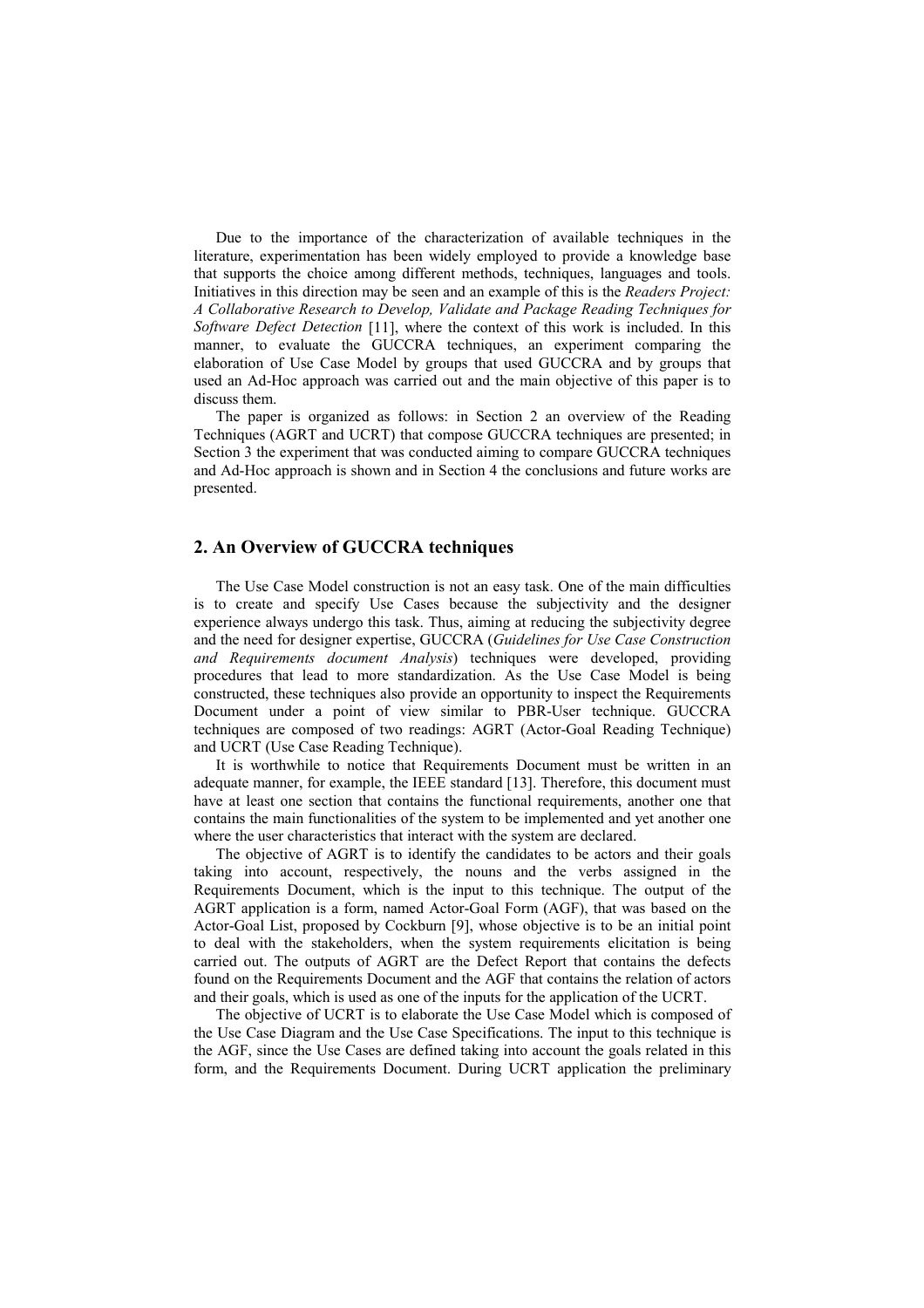Due to the importance of the characterization of available techniques in the literature, experimentation has been widely employed to provide a knowledge base that supports the choice among different methods, techniques, languages and tools. Initiatives in this direction may be seen and an example of this is the *Readers Project: A Collaborative Research to Develop, Validate and Package Reading Techniques for Software Defect Detection* [11], where the context of this work is included. In this manner, to evaluate the GUCCRA techniques, an experiment comparing the elaboration of Use Case Model by groups that used GUCCRA and by groups that used an Ad-Hoc approach was carried out and the main objective of this paper is to discuss them.

The paper is organized as follows: in Section 2 an overview of the Reading Techniques (AGRT and UCRT) that compose GUCCRA techniques are presented; in Section 3 the experiment that was conducted aiming to compare GUCCRA techniques and Ad-Hoc approach is shown and in Section 4 the conclusions and future works are presented.

## **2. An Overview of GUCCRA techniques**

The Use Case Model construction is not an easy task. One of the main difficulties is to create and specify Use Cases because the subjectivity and the designer experience always undergo this task. Thus, aiming at reducing the subjectivity degree and the need for designer expertise, GUCCRA (*Guidelines for Use Case Construction and Requirements document Analysis*) techniques were developed, providing procedures that lead to more standardization. As the Use Case Model is being constructed, these techniques also provide an opportunity to inspect the Requirements Document under a point of view similar to PBR-User technique. GUCCRA techniques are composed of two readings: AGRT (Actor-Goal Reading Technique) and UCRT (Use Case Reading Technique).

It is worthwhile to notice that Requirements Document must be written in an adequate manner, for example, the IEEE standard [13]. Therefore, this document must have at least one section that contains the functional requirements, another one that contains the main functionalities of the system to be implemented and yet another one where the user characteristics that interact with the system are declared.

The objective of AGRT is to identify the candidates to be actors and their goals taking into account, respectively, the nouns and the verbs assigned in the Requirements Document, which is the input to this technique. The output of the AGRT application is a form, named Actor-Goal Form (AGF), that was based on the Actor-Goal List, proposed by Cockburn [9], whose objective is to be an initial point to deal with the stakeholders, when the system requirements elicitation is being carried out. The outputs of AGRT are the Defect Report that contains the defects found on the Requirements Document and the AGF that contains the relation of actors and their goals, which is used as one of the inputs for the application of the UCRT.

The objective of UCRT is to elaborate the Use Case Model which is composed of the Use Case Diagram and the Use Case Specifications. The input to this technique is the AGF, since the Use Cases are defined taking into account the goals related in this form, and the Requirements Document. During UCRT application the preliminary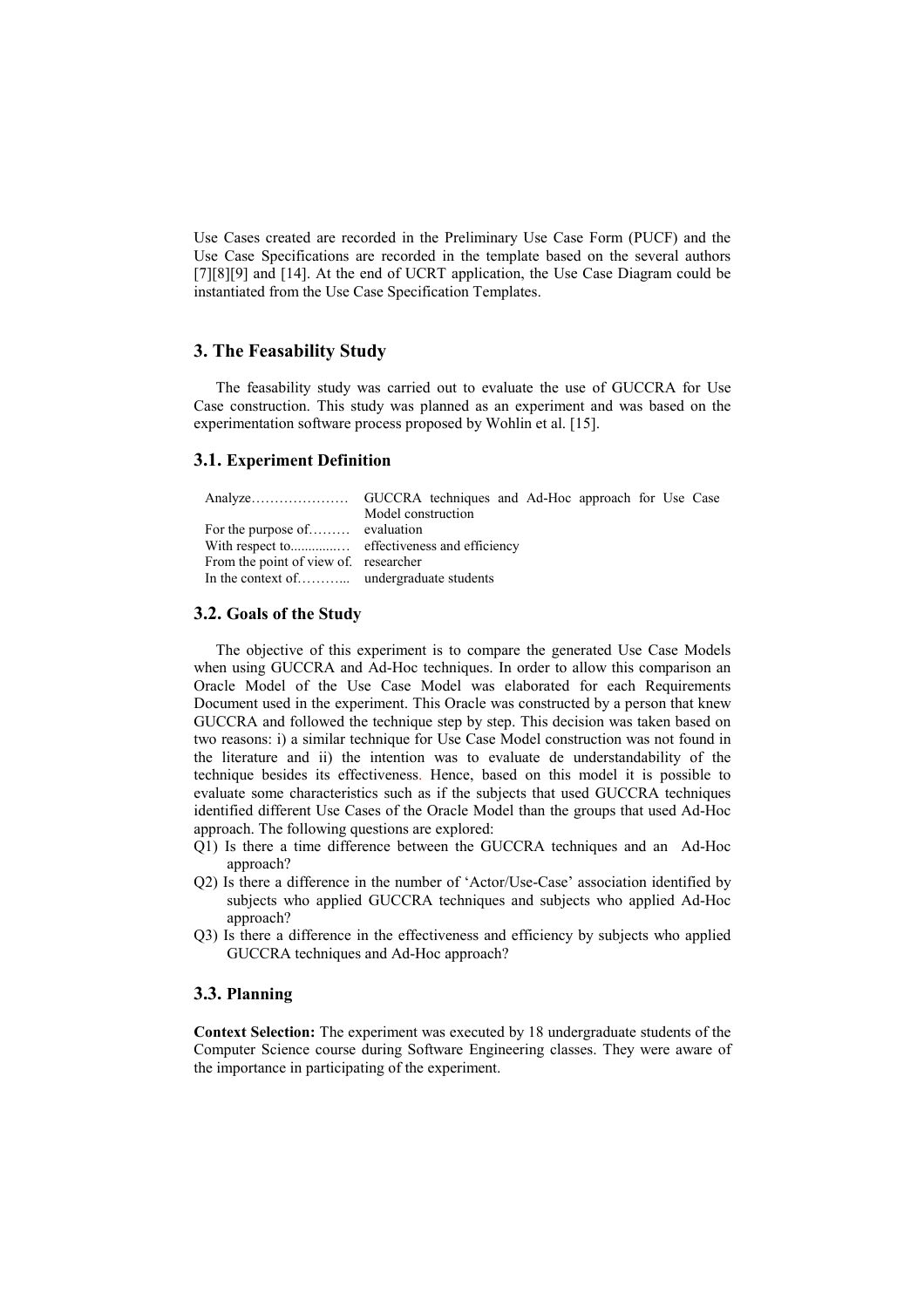Use Cases created are recorded in the Preliminary Use Case Form (PUCF) and the Use Case Specifications are recorded in the template based on the several authors [7][8][9] and [14]. At the end of UCRT application, the Use Case Diagram could be instantiated from the Use Case Specification Templates.

# **3. The Feasability Study**

The feasability study was carried out to evaluate the use of GUCCRA for Use Case construction. This study was planned as an experiment and was based on the experimentation software process proposed by Wohlin et al. [15].

#### **3.1. Experiment Definition**

|                                      | Model construction |  |  |  |
|--------------------------------------|--------------------|--|--|--|
| For the purpose of evaluation        |                    |  |  |  |
|                                      |                    |  |  |  |
| From the point of view of researcher |                    |  |  |  |
|                                      |                    |  |  |  |

#### **3.2. Goals of the Study**

The objective of this experiment is to compare the generated Use Case Models when using GUCCRA and Ad-Hoc techniques. In order to allow this comparison an Oracle Model of the Use Case Model was elaborated for each Requirements Document used in the experiment. This Oracle was constructed by a person that knew GUCCRA and followed the technique step by step. This decision was taken based on two reasons: i) a similar technique for Use Case Model construction was not found in the literature and ii) the intention was to evaluate de understandability of the technique besides its effectiveness. Hence, based on this model it is possible to evaluate some characteristics such as if the subjects that used GUCCRA techniques identified different Use Cases of the Oracle Model than the groups that used Ad-Hoc approach. The following questions are explored:

- Q1) Is there a time difference between the GUCCRA techniques and an Ad-Hoc approach?
- Q2) Is there a difference in the number of 'Actor/Use-Case' association identified by subjects who applied GUCCRA techniques and subjects who applied Ad-Hoc approach?
- Q3) Is there a difference in the effectiveness and efficiency by subjects who applied GUCCRA techniques and Ad-Hoc approach?

#### **3.3. Planning**

**Context Selection:** The experiment was executed by 18 undergraduate students of the Computer Science course during Software Engineering classes. They were aware of the importance in participating of the experiment.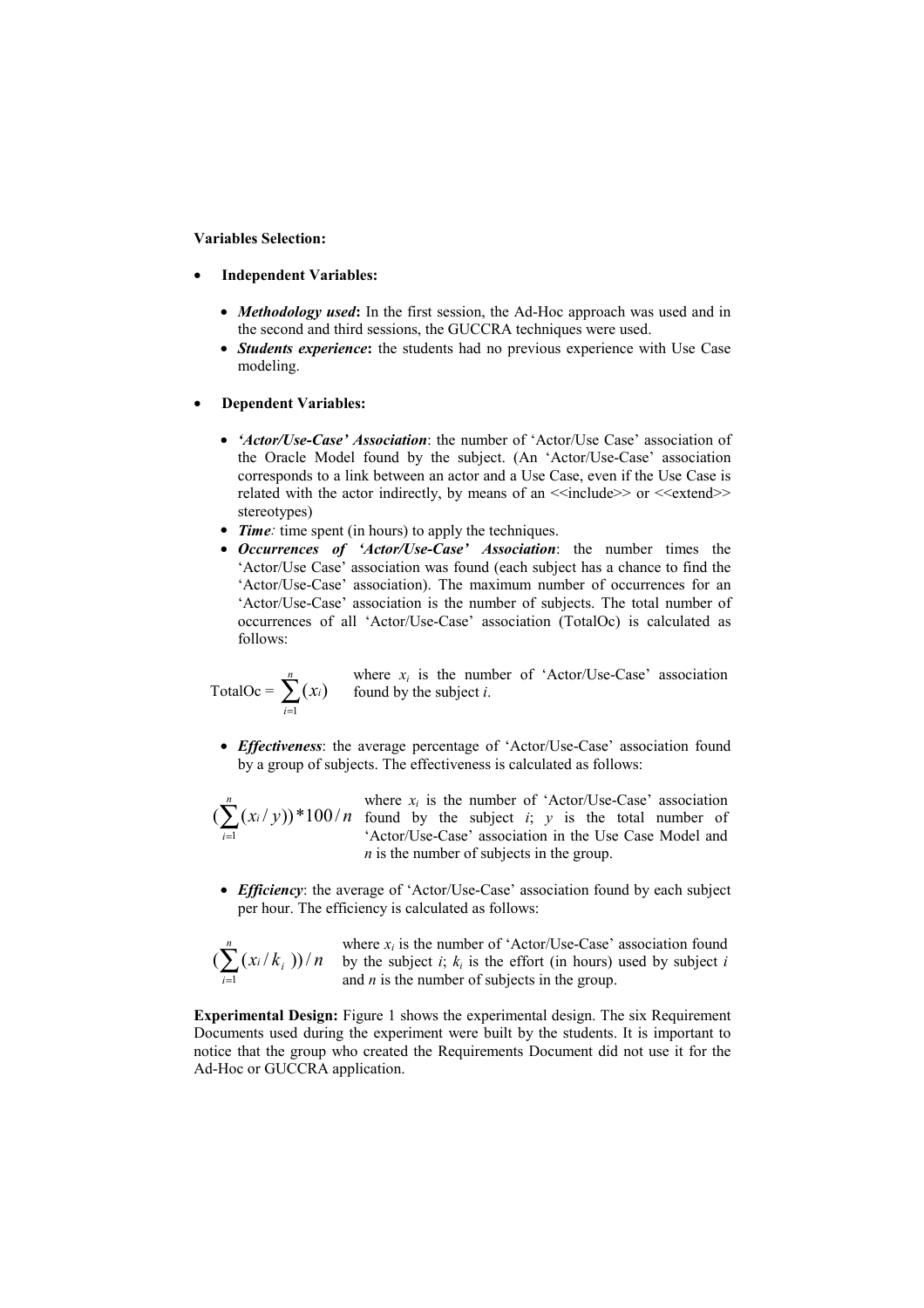**Variables Selection:** 

- **Independent Variables:** 
	- *Methodology used*: In the first session, the Ad-Hoc approach was used and in the second and third sessions, the GUCCRA techniques were used.
	- *Students experience***:** the students had no previous experience with Use Case modeling.
- **Dependent Variables:** 
	- *'Actor/Use-Case' Association*: the number of 'Actor/Use Case' association of the Oracle Model found by the subject. (An 'Actor/Use-Case' association corresponds to a link between an actor and a Use Case, even if the Use Case is related with the actor indirectly, by means of an  $\le$ include>> or  $\le$ extend>> stereotypes)
	- *Time*: time spent (in hours) to apply the techniques.
	- *Occurrences of 'Actor/Use-Case' Association*: the number times the 'Actor/Use Case' association was found (each subject has a chance to find the 'Actor/Use-Case' association). The maximum number of occurrences for an 'Actor/Use-Case' association is the number of subjects. The total number of occurrences of all 'Actor/Use-Case' association (TotalOc) is calculated as follows:

$$
TotalOc = \sum_{i=1}^{n} (x_i)
$$

where  $x_i$  is the number of 'Actor/Use-Case' association found by the subject *i*.

• *Effectiveness*: the average percentage of 'Actor/Use-Case' association found by a group of subjects. The effectiveness is calculated as follows:

$$
(\sum_{i=1}^n (x_i/y))^*100/
$$

 $f(x_i/y)$ <sup>\*</sup>100/*n* found by the subject *i*; *y* is the total number of where  $x_i$  is the number of 'Actor/Use-Case' association 'Actor/Use-Case' association in the Use Case Model and *n* is the number of subjects in the group.

• *Efficiency*: the average of 'Actor/Use-Case' association found by each subject per hour. The efficiency is calculated as follows:

$$
\bigl(\sum_{i=1}^n(x_i/k_i)\bigr)/n
$$

where  $x_i$  is the number of 'Actor/Use-Case' association found by the subject  $i$ ;  $k_i$  is the effort (in hours) used by subject  $i$ and *n* is the number of subjects in the group.

**Experimental Design:** Figure 1 shows the experimental design. The six Requirement Documents used during the experiment were built by the students. It is important to notice that the group who created the Requirements Document did not use it for the Ad-Hoc or GUCCRA application.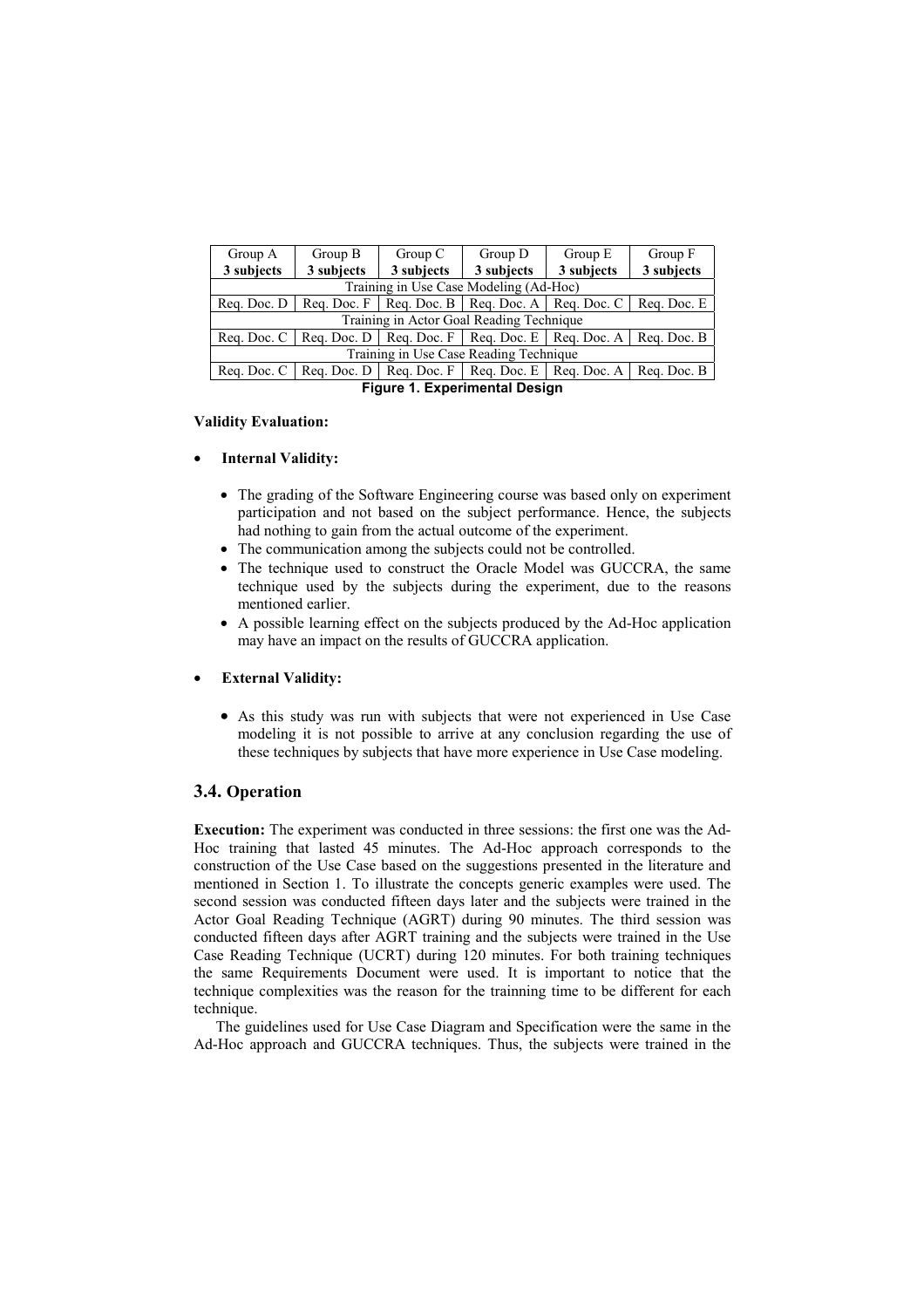| Group A                                  | Group B                                                                         | Group C    | Group D                                                                 | Group E    | Group F     |  |  |
|------------------------------------------|---------------------------------------------------------------------------------|------------|-------------------------------------------------------------------------|------------|-------------|--|--|
| 3 subjects                               | 3 subjects                                                                      | 3 subjects | 3 subjects                                                              | 3 subjects | 3 subjects  |  |  |
| Training in Use Case Modeling (Ad-Hoc)   |                                                                                 |            |                                                                         |            |             |  |  |
| Reg. Doc. D                              | Rea. Doc. F                                                                     |            | Reg. Doc. $B \mid$ Reg. Doc. A $\mid$ Reg. Doc. C                       |            | Reg. Doc. E |  |  |
| Training in Actor Goal Reading Technique |                                                                                 |            |                                                                         |            |             |  |  |
| Reg. Doc. C                              | $\vert$ Req. Doc. D $\vert$ Req. Doc. F $\vert$ Req. Doc. E $\vert$ Req. Doc. A |            |                                                                         |            | Reg. Doc. B |  |  |
| Training in Use Case Reading Technique   |                                                                                 |            |                                                                         |            |             |  |  |
| Reg. Doc. C                              | Reg. Doc. $D \parallel$                                                         |            | Reg. Doc. $F \parallel \text{Req. Doc. E} \parallel \text{Req. Doc. A}$ |            | Req. Doc. B |  |  |
| <b>Figure 1. Experimental Design</b>     |                                                                                 |            |                                                                         |            |             |  |  |

## **Validity Evaluation:**

## • **Internal Validity:**

- The grading of the Software Engineering course was based only on experiment participation and not based on the subject performance. Hence, the subjects had nothing to gain from the actual outcome of the experiment.
- The communication among the subjects could not be controlled.
- The technique used to construct the Oracle Model was GUCCRA, the same technique used by the subjects during the experiment, due to the reasons mentioned earlier.
- A possible learning effect on the subjects produced by the Ad-Hoc application may have an impact on the results of GUCCRA application.

### • **External Validity:**

• As this study was run with subjects that were not experienced in Use Case modeling it is not possible to arrive at any conclusion regarding the use of these techniques by subjects that have more experience in Use Case modeling.

## **3.4. Operation**

**Execution:** The experiment was conducted in three sessions: the first one was the Ad-Hoc training that lasted 45 minutes. The Ad-Hoc approach corresponds to the construction of the Use Case based on the suggestions presented in the literature and mentioned in Section 1. To illustrate the concepts generic examples were used. The second session was conducted fifteen days later and the subjects were trained in the Actor Goal Reading Technique (AGRT) during 90 minutes. The third session was conducted fifteen days after AGRT training and the subjects were trained in the Use Case Reading Technique (UCRT) during 120 minutes. For both training techniques the same Requirements Document were used. It is important to notice that the technique complexities was the reason for the trainning time to be different for each technique.

The guidelines used for Use Case Diagram and Specification were the same in the Ad-Hoc approach and GUCCRA techniques. Thus, the subjects were trained in the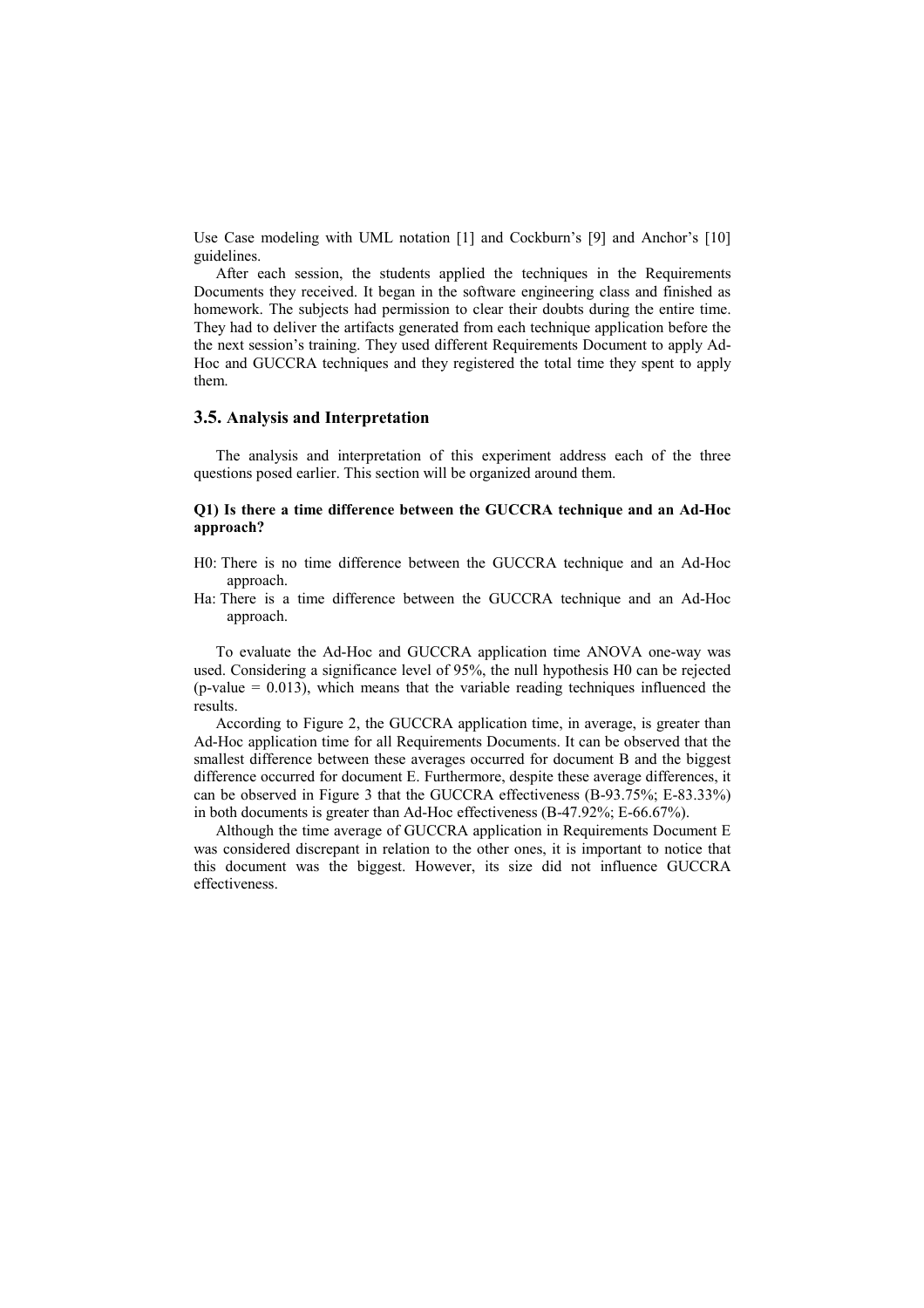Use Case modeling with UML notation [1] and Cockburn's [9] and Anchor's [10] guidelines.

After each session, the students applied the techniques in the Requirements Documents they received. It began in the software engineering class and finished as homework. The subjects had permission to clear their doubts during the entire time. They had to deliver the artifacts generated from each technique application before the the next session's training. They used different Requirements Document to apply Ad-Hoc and GUCCRA techniques and they registered the total time they spent to apply them.

## **3.5. Analysis and Interpretation**

The analysis and interpretation of this experiment address each of the three questions posed earlier. This section will be organized around them.

#### **Q1) Is there a time difference between the GUCCRA technique and an Ad-Hoc approach?**

- H0: There is no time difference between the GUCCRA technique and an Ad-Hoc approach.
- Ha: There is a time difference between the GUCCRA technique and an Ad-Hoc approach.

To evaluate the Ad-Hoc and GUCCRA application time ANOVA one-way was used. Considering a significance level of 95%, the null hypothesis H0 can be rejected  $(p-value = 0.013)$ , which means that the variable reading techniques influenced the results.

According to Figure 2, the GUCCRA application time, in average, is greater than Ad-Hoc application time for all Requirements Documents. It can be observed that the smallest difference between these averages occurred for document B and the biggest difference occurred for document E. Furthermore, despite these average differences, it can be observed in Figure 3 that the GUCCRA effectiveness (B-93.75%; E-83.33%) in both documents is greater than Ad-Hoc effectiveness (B-47.92%; E-66.67%).

Although the time average of GUCCRA application in Requirements Document E was considered discrepant in relation to the other ones, it is important to notice that this document was the biggest. However, its size did not influence GUCCRA effectiveness.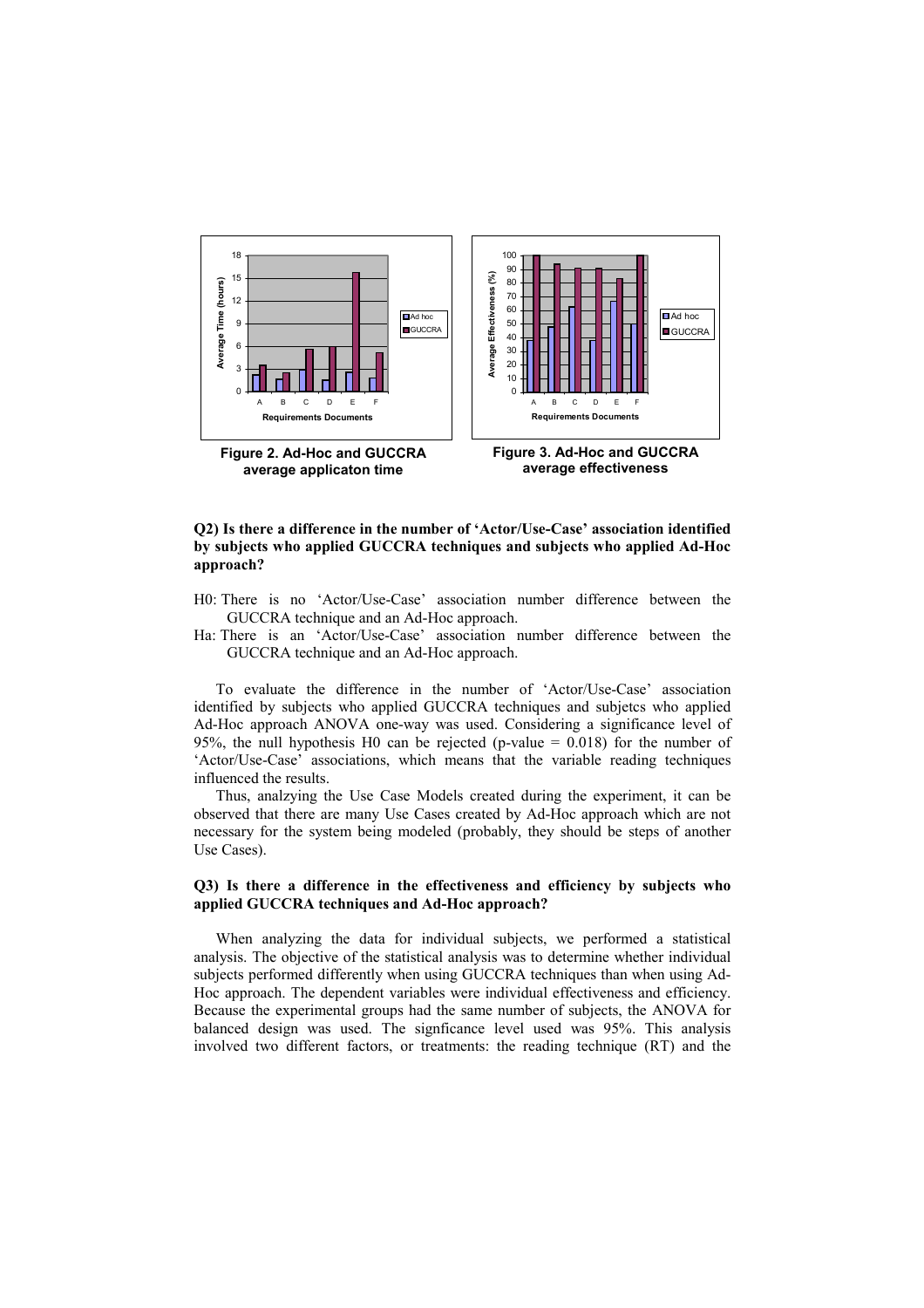

#### **Q2) Is there a difference in the number of 'Actor/Use-Case' association identified by subjects who applied GUCCRA techniques and subjects who applied Ad-Hoc approach?**

- H0: There is no 'Actor/Use-Case' association number difference between the GUCCRA technique and an Ad-Hoc approach.
- Ha: There is an 'Actor/Use-Case' association number difference between the GUCCRA technique and an Ad-Hoc approach.

To evaluate the difference in the number of 'Actor/Use-Case' association identified by subjects who applied GUCCRA techniques and subjetcs who applied Ad-Hoc approach ANOVA one-way was used. Considering a significance level of 95%, the null hypothesis H0 can be rejected (p-value  $= 0.018$ ) for the number of 'Actor/Use-Case' associations, which means that the variable reading techniques influenced the results.

Thus, analzying the Use Case Models created during the experiment, it can be observed that there are many Use Cases created by Ad-Hoc approach which are not necessary for the system being modeled (probably, they should be steps of another Use Cases).

#### **Q3) Is there a difference in the effectiveness and efficiency by subjects who applied GUCCRA techniques and Ad-Hoc approach?**

When analyzing the data for individual subjects, we performed a statistical analysis. The objective of the statistical analysis was to determine whether individual subjects performed differently when using GUCCRA techniques than when using Ad-Hoc approach. The dependent variables were individual effectiveness and efficiency. Because the experimental groups had the same number of subjects, the ANOVA for balanced design was used. The signficance level used was 95%. This analysis involved two different factors, or treatments: the reading technique (RT) and the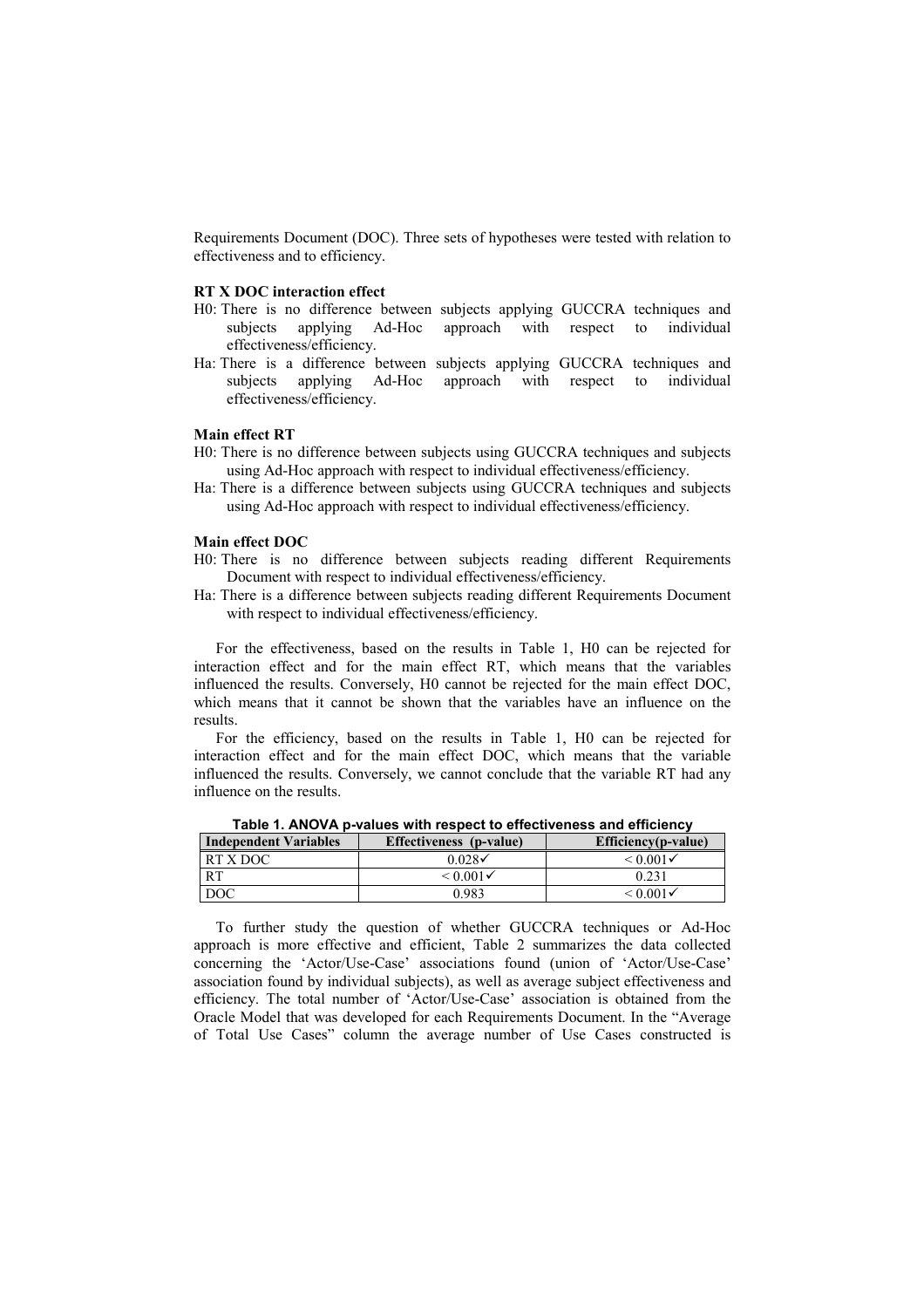Requirements Document (DOC). Three sets of hypotheses were tested with relation to effectiveness and to efficiency.

#### **RT X DOC interaction effect**

- H0: There is no difference between subjects applying GUCCRA techniques and subjects applying Ad-Hoc approach with respect to individual effectiveness/efficiency.
- Ha: There is a difference between subjects applying GUCCRA techniques and subjects applying Ad-Hoc approach with respect to individual effectiveness/efficiency.

#### **Main effect RT**

- H0: There is no difference between subjects using GUCCRA techniques and subjects using Ad-Hoc approach with respect to individual effectiveness/efficiency.
- Ha: There is a difference between subjects using GUCCRA techniques and subjects using Ad-Hoc approach with respect to individual effectiveness/efficiency.

#### **Main effect DOC**

- H0: There is no difference between subjects reading different Requirements Document with respect to individual effectiveness/efficiency.
- Ha: There is a difference between subjects reading different Requirements Document with respect to individual effectiveness/efficiency.

For the effectiveness, based on the results in Table 1, H0 can be rejected for interaction effect and for the main effect RT, which means that the variables influenced the results. Conversely, H0 cannot be rejected for the main effect DOC, which means that it cannot be shown that the variables have an influence on the results.

For the efficiency, based on the results in Table 1, H0 can be rejected for interaction effect and for the main effect DOC, which means that the variable influenced the results. Conversely, we cannot conclude that the variable RT had any influence on the results.

| <b>Independent Variables</b> | Effectiveness (p-value) | Efficiency(p-value)  |
|------------------------------|-------------------------|----------------------|
| RT X DOC                     | 0 028✔                  | $< 0.001 \checkmark$ |
| <b>RT</b>                    | $\leq 0.001 \checkmark$ | 0.231                |
| DOC                          | 1983                    | $< 0.001 \checkmark$ |

**Table 1. ANOVA p-values with respect to effectiveness and efficiency**

To further study the question of whether GUCCRA techniques or Ad-Hoc approach is more effective and efficient, Table 2 summarizes the data collected concerning the 'Actor/Use-Case' associations found (union of 'Actor/Use-Case' association found by individual subjects), as well as average subject effectiveness and efficiency. The total number of 'Actor/Use-Case' association is obtained from the Oracle Model that was developed for each Requirements Document. In the "Average of Total Use Cases" column the average number of Use Cases constructed is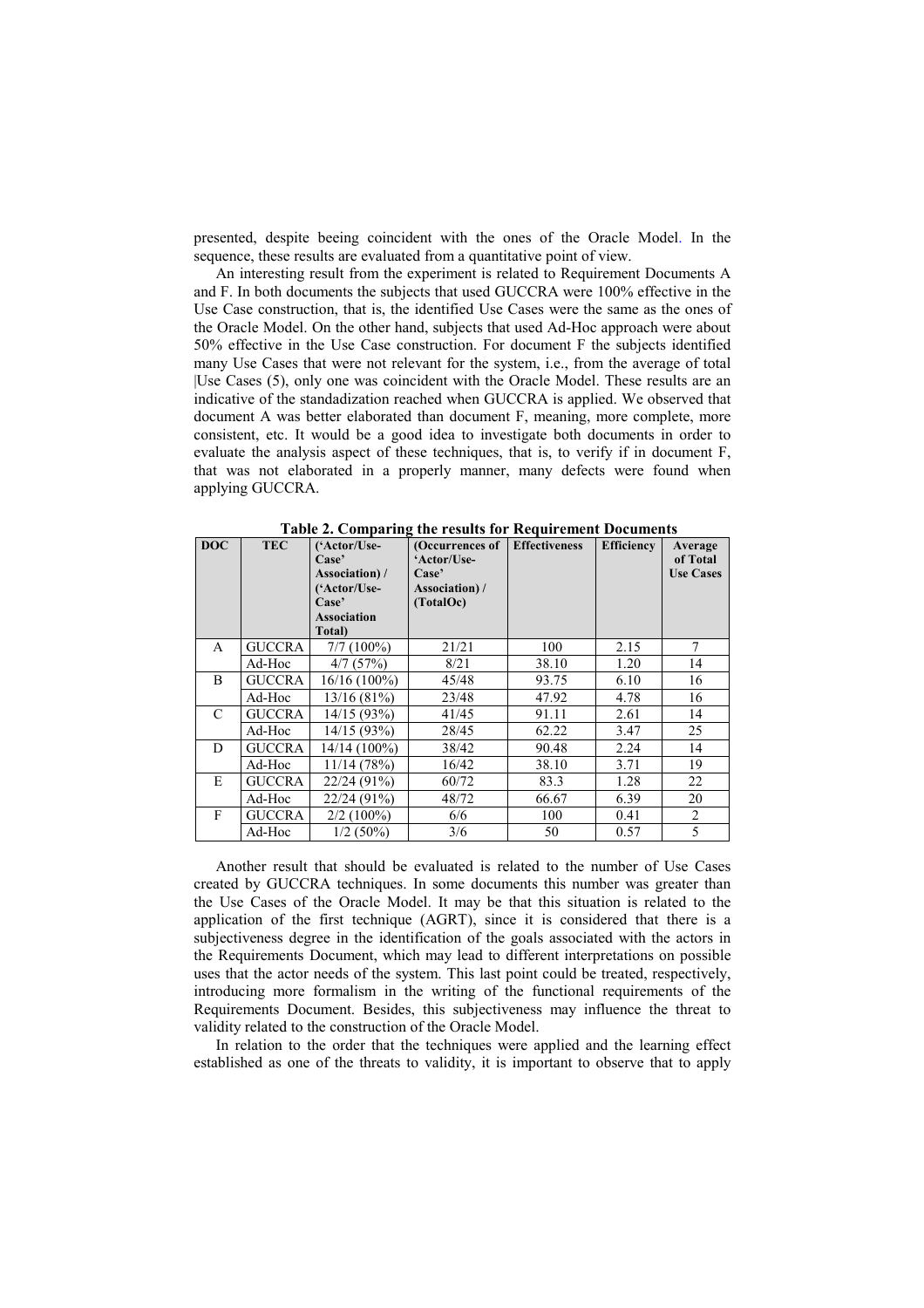presented, despite beeing coincident with the ones of the Oracle Model. In the sequence, these results are evaluated from a quantitative point of view.

An interesting result from the experiment is related to Requirement Documents A and F. In both documents the subjects that used GUCCRA were 100% effective in the Use Case construction, that is, the identified Use Cases were the same as the ones of the Oracle Model. On the other hand, subjects that used Ad-Hoc approach were about 50% effective in the Use Case construction. For document F the subjects identified many Use Cases that were not relevant for the system, i.e., from the average of total |Use Cases (5), only one was coincident with the Oracle Model. These results are an indicative of the standadization reached when GUCCRA is applied. We observed that document A was better elaborated than document F, meaning, more complete, more consistent, etc. It would be a good idea to investigate both documents in order to evaluate the analysis aspect of these techniques, that is, to verify if in document F, that was not elaborated in a properly manner, many defects were found when applying GUCCRA.

| <b>DOC</b> | <b>TEC</b>    | ('Actor/Use-<br>Case'<br>Association)/<br>('Actor/Use-<br>Case'<br><b>Association</b><br>Total) | (Occurrences of<br>'Actor/Use-<br>Case'<br>Association)/<br>(TotalOc) | <b>Effectiveness</b> | <b>Efficiency</b> | Average<br>of Total<br><b>Use Cases</b> |
|------------|---------------|-------------------------------------------------------------------------------------------------|-----------------------------------------------------------------------|----------------------|-------------------|-----------------------------------------|
| A          | <b>GUCCRA</b> | $7/7(100\%)$                                                                                    | 21/21                                                                 | 100                  | 2.15              | 7                                       |
|            | Ad-Hoc        | 4/7(57%)                                                                                        | 8/21                                                                  | 38.10                | 1.20              | 14                                      |
| B          | <b>GUCCRA</b> | $16/16(100\%)$                                                                                  | 45/48                                                                 | 93.75                | 6.10              | 16                                      |
|            | Ad-Hoc        | 13/16(81%)                                                                                      | 23/48                                                                 | 47.92                | 4.78              | 16                                      |
| C          | <b>GUCCRA</b> | 14/15(93%)                                                                                      | 41/45                                                                 | 91.11                | 2.61              | 14                                      |
|            | Ad-Hoc        | 14/15(93%)                                                                                      | 28/45                                                                 | 62.22                | 3.47              | 25                                      |
| D          | <b>GUCCRA</b> | 14/14 (100%)                                                                                    | 38/42                                                                 | 90.48                | 2.24              | 14                                      |
|            | Ad-Hoc        | 11/14(78%)                                                                                      | 16/42                                                                 | 38.10                | 3.71              | 19                                      |
| E          | <b>GUCCRA</b> | 22/24(91%)                                                                                      | 60/72                                                                 | 83.3                 | 1.28              | 22                                      |
|            | Ad-Hoc        | 22/24 (91%)                                                                                     | 48/72                                                                 | 66.67                | 6.39              | 20                                      |
| F          | <b>GUCCRA</b> | $2/2(100\%)$                                                                                    | 6/6                                                                   | 100                  | 0.41              | 2                                       |
|            | Ad-Hoc        | $1/2(50\%)$                                                                                     | 3/6                                                                   | 50                   | 0.57              | 5                                       |

**Table 2. Comparing the results for Requirement Documents** 

Another result that should be evaluated is related to the number of Use Cases created by GUCCRA techniques. In some documents this number was greater than the Use Cases of the Oracle Model. It may be that this situation is related to the application of the first technique (AGRT), since it is considered that there is a subjectiveness degree in the identification of the goals associated with the actors in the Requirements Document, which may lead to different interpretations on possible uses that the actor needs of the system. This last point could be treated, respectively, introducing more formalism in the writing of the functional requirements of the Requirements Document. Besides, this subjectiveness may influence the threat to validity related to the construction of the Oracle Model.

In relation to the order that the techniques were applied and the learning effect established as one of the threats to validity, it is important to observe that to apply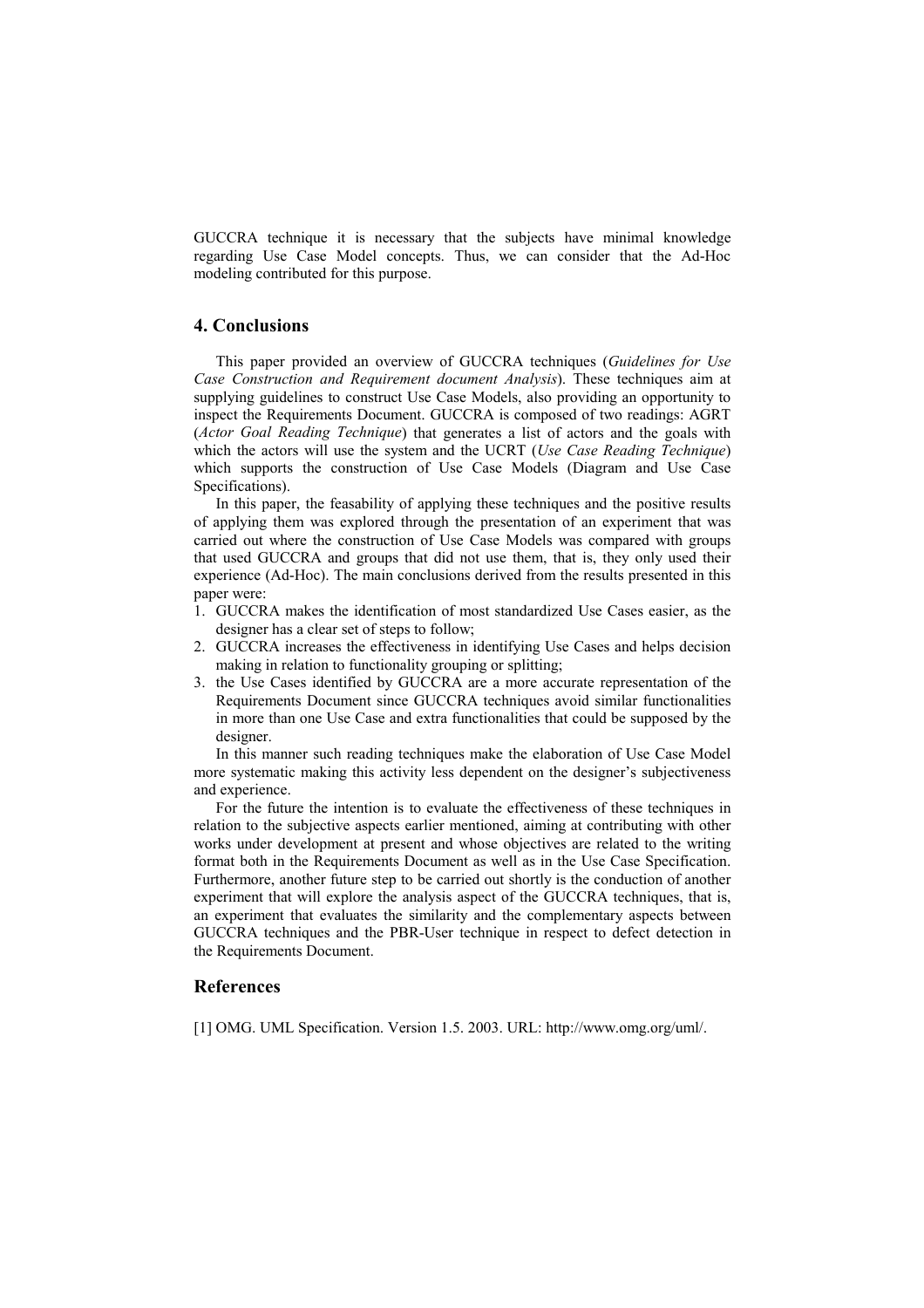GUCCRA technique it is necessary that the subjects have minimal knowledge regarding Use Case Model concepts. Thus, we can consider that the Ad-Hoc modeling contributed for this purpose.

# **4. Conclusions**

This paper provided an overview of GUCCRA techniques (*Guidelines for Use Case Construction and Requirement document Analysis*). These techniques aim at supplying guidelines to construct Use Case Models, also providing an opportunity to inspect the Requirements Document. GUCCRA is composed of two readings: AGRT (*Actor Goal Reading Technique*) that generates a list of actors and the goals with which the actors will use the system and the UCRT (*Use Case Reading Technique*) which supports the construction of Use Case Models (Diagram and Use Case Specifications).

In this paper, the feasability of applying these techniques and the positive results of applying them was explored through the presentation of an experiment that was carried out where the construction of Use Case Models was compared with groups that used GUCCRA and groups that did not use them, that is, they only used their experience (Ad-Hoc). The main conclusions derived from the results presented in this paper were:

- 1. GUCCRA makes the identification of most standardized Use Cases easier, as the designer has a clear set of steps to follow;
- 2. GUCCRA increases the effectiveness in identifying Use Cases and helps decision making in relation to functionality grouping or splitting;
- 3. the Use Cases identified by GUCCRA are a more accurate representation of the Requirements Document since GUCCRA techniques avoid similar functionalities in more than one Use Case and extra functionalities that could be supposed by the designer.

In this manner such reading techniques make the elaboration of Use Case Model more systematic making this activity less dependent on the designer's subjectiveness and experience.

For the future the intention is to evaluate the effectiveness of these techniques in relation to the subjective aspects earlier mentioned, aiming at contributing with other works under development at present and whose objectives are related to the writing format both in the Requirements Document as well as in the Use Case Specification. Furthermore, another future step to be carried out shortly is the conduction of another experiment that will explore the analysis aspect of the GUCCRA techniques, that is, an experiment that evaluates the similarity and the complementary aspects between GUCCRA techniques and the PBR-User technique in respect to defect detection in the Requirements Document.

#### **References**

[1] OMG. UML Specification. Version 1.5. 2003. URL: http://www.omg.org/uml/.